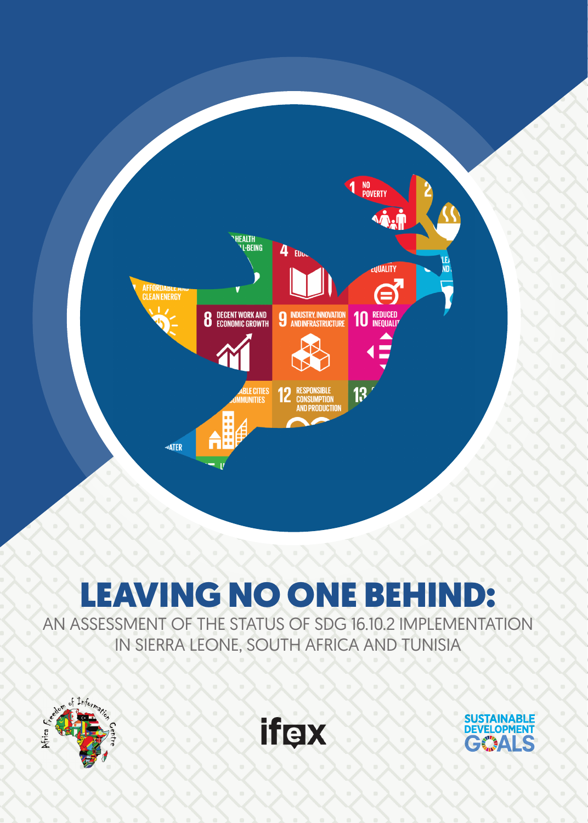

# LEAVING NO ONE BEHIND:

AN ASSESSMENT OF THE STATUS OF SDG 16.10.2 IMPLEMENTATION IN SIERRA LEONE, SOUTH AFRICA AND TUNISIA





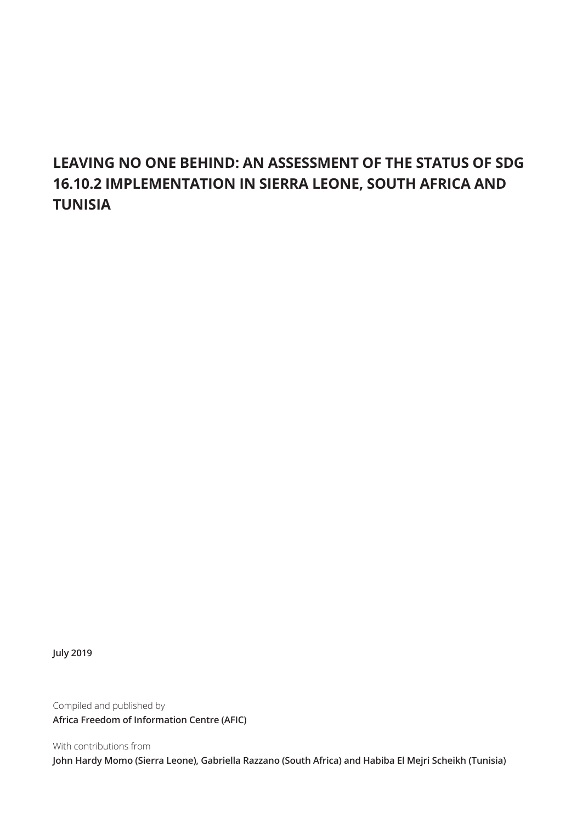# **LEAVING NO ONE BEHIND: AN ASSESSMENT OF THE STATUS OF SDG 16.10.2 IMPLEMENTATION IN SIERRA LEONE, SOUTH AFRICA AND TUNISIA**

**July 2019**

Compiled and published by **Africa Freedom of Information Centre (AFIC)**

With contributions from **John Hardy Momo (Sierra Leone), Gabriella Razzano (South Africa) and Habiba El Mejri Scheikh (Tunisia)**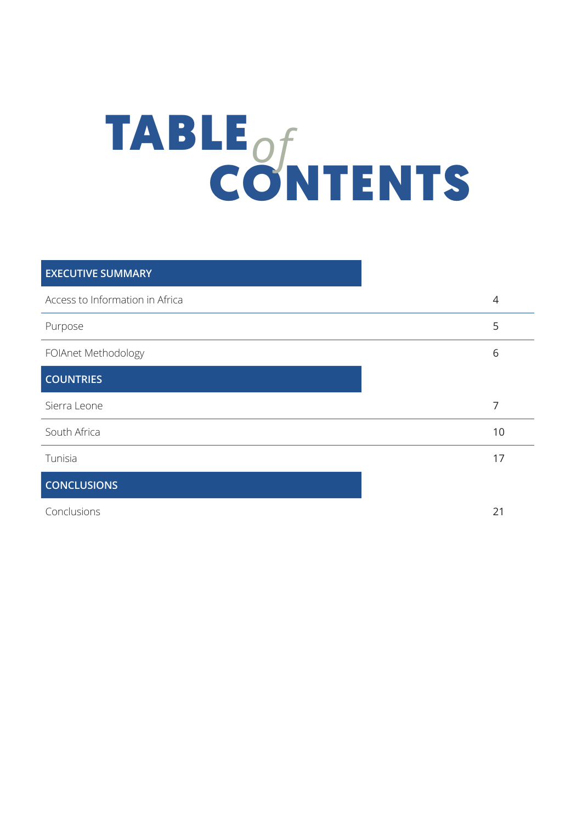# TABLE CONTENTS *of*

| <b>EXECUTIVE SUMMARY</b>        |    |
|---------------------------------|----|
| Access to Information in Africa | 4  |
| Purpose                         | 5  |
| FOIAnet Methodology             | 6  |
| <b>COUNTRIES</b>                |    |
| Sierra Leone                    | 7  |
| South Africa                    | 10 |
| Tunisia                         | 17 |
| <b>CONCLUSIONS</b>              |    |

Conclusions 21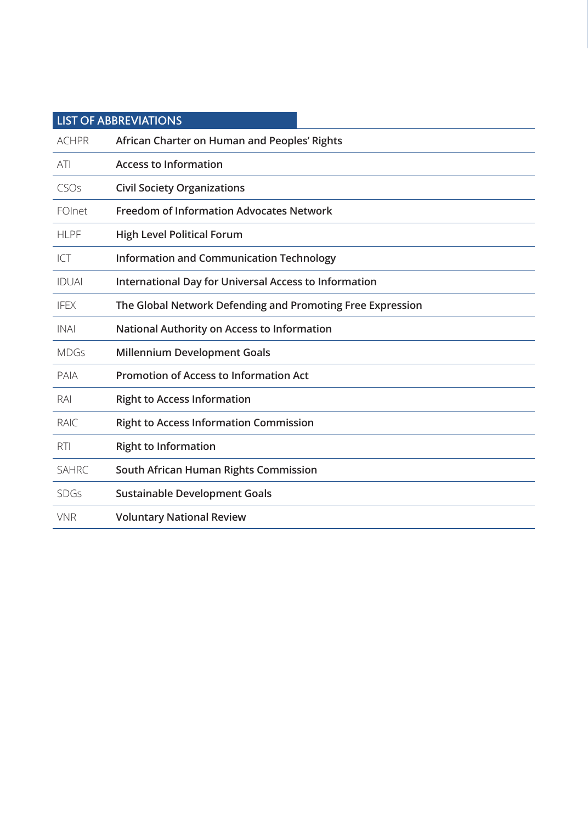|              | <b>LIST OF ABBREVIATIONS</b>                               |
|--------------|------------------------------------------------------------|
| <b>ACHPR</b> | African Charter on Human and Peoples' Rights               |
| ATI          | <b>Access to Information</b>                               |
| CSOs         | <b>Civil Society Organizations</b>                         |
| FOInet       | <b>Freedom of Information Advocates Network</b>            |
| <b>HLPF</b>  | <b>High Level Political Forum</b>                          |
| ICT          | <b>Information and Communication Technology</b>            |
| <b>IDUAI</b> | International Day for Universal Access to Information      |
| <b>IFEX</b>  | The Global Network Defending and Promoting Free Expression |
| <b>INAI</b>  | National Authority on Access to Information                |
| <b>MDGs</b>  | <b>Millennium Development Goals</b>                        |
| PAIA         | <b>Promotion of Access to Information Act</b>              |
| RAI          | <b>Right to Access Information</b>                         |
| <b>RAIC</b>  | <b>Right to Access Information Commission</b>              |
| <b>RTI</b>   | <b>Right to Information</b>                                |
| <b>SAHRC</b> | South African Human Rights Commission                      |
| <b>SDGs</b>  | <b>Sustainable Development Goals</b>                       |
| <b>VNR</b>   | <b>Voluntary National Review</b>                           |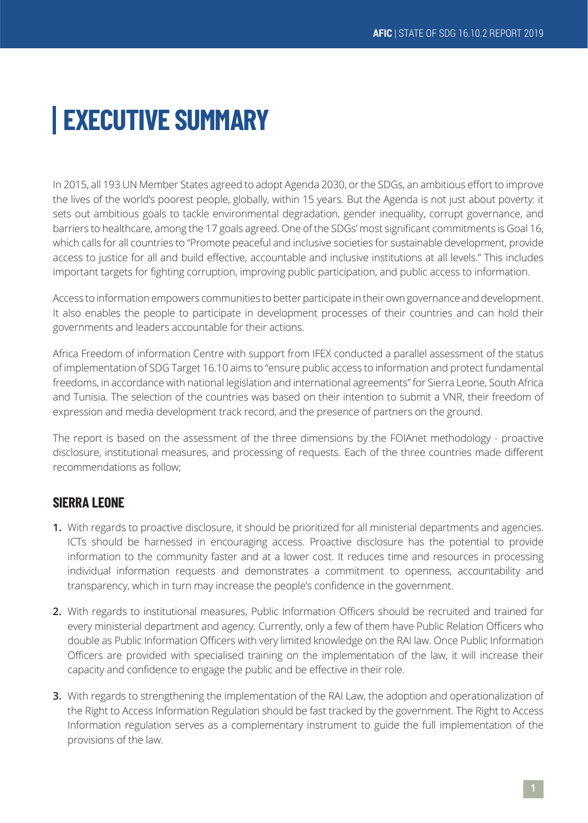# **EXECUTIVE SUMMARY**

In 2015, all 193 UN Member States agreed to adopt Agenda 2030, or the SDGs, an ambitious effort to improve the lives of the world's poorest people, globally, within 15 years. But the Agenda is not just about poverty: it sets out ambitious goals to tackle environmental degradation, gender inequality, corrupt governance, and barriers to healthcare, among the 17 goals agreed. One of the SDGs' most significant commitments is Goal 16, which calls for all countries to "Promote peaceful and inclusive societies for sustainable development, provide access to justice for all and build effective, accountable and inclusive institutions at all levels." This includes important targets for fighting corruption, improving public participation, and public access to information.

Access to information empowers communities to better participate in their own governance and development. It also enables the people to participate in development processes of their countries and can hold their governments and leaders accountable for their actions.

Africa Freedom of information Centre with support from IFEX conducted a parallel assessment of the status of implementation of SDG Target 16.10 aims to "ensure public access to information and protect fundamental freedoms, in accordance with national legislation and international agreements" for Sierra Leone, South Africa and Tunisia. The selection of the countries was based on their intention to submit a VNR, their freedom of expression and media development track record, and the presence of partners on the ground.

The report is based on the assessment of the three dimensions by the FOIAnet methodology - proactive disclosure, institutional measures, and processing of requests. Each of the three countries made different recommendations as follow;

# **SIERRA LEONE**

- **1.** With regards to proactive disclosure, it should be prioritized for all ministerial departments and agencies. ICTs should be harnessed in encouraging access. Proactive disclosure has the potential to provide information to the community faster and at a lower cost. It reduces time and resources in processing individual information requests and demonstrates a commitment to openness, accountability and transparency, which in turn may increase the people's confidence in the government.
- **2.** With regards to institutional measures, Public Information Officers should be recruited and trained for every ministerial department and agency. Currently, only a few of them have Public Relation Officers who double as Public Information Officers with very limited knowledge on the RAI law. Once Public Information Officers are provided with specialised training on the implementation of the law, it will increase their capacity and confidence to engage the public and be effective in their role.
- **3.** With regards to strengthening the implementation of the RAI Law, the adoption and operationalization of the Right to Access Information Regulation should be fast tracked by the government. The Right to Access Information regulation serves as a complementary instrument to guide the full implementation of the provisions of the law.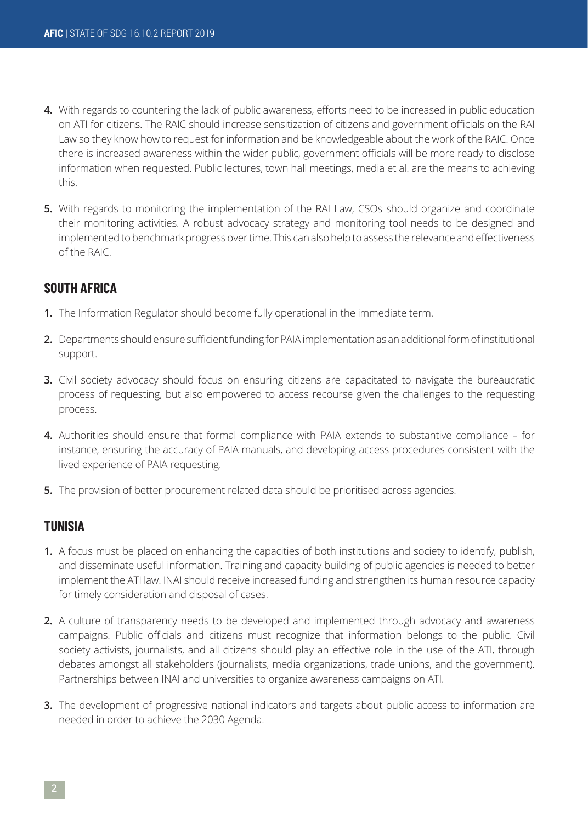- **4.** With regards to countering the lack of public awareness, efforts need to be increased in public education on ATI for citizens. The RAIC should increase sensitization of citizens and government officials on the RAI Law so they know how to request for information and be knowledgeable about the work of the RAIC. Once there is increased awareness within the wider public, government officials will be more ready to disclose information when requested. Public lectures, town hall meetings, media et al. are the means to achieving this.
- **5.** With regards to monitoring the implementation of the RAI Law, CSOs should organize and coordinate their monitoring activities. A robust advocacy strategy and monitoring tool needs to be designed and implemented to benchmark progress over time. This can also help to assess the relevance and effectiveness of the RAIC.

# **SOUTH AFRICA**

- **1.** The Information Regulator should become fully operational in the immediate term.
- **2.** Departments should ensure sufficient funding for PAIA implementation as an additional form of institutional support.
- **3.** Civil society advocacy should focus on ensuring citizens are capacitated to navigate the bureaucratic process of requesting, but also empowered to access recourse given the challenges to the requesting process.
- **4.** Authorities should ensure that formal compliance with PAIA extends to substantive compliance for instance, ensuring the accuracy of PAIA manuals, and developing access procedures consistent with the lived experience of PAIA requesting.
- **5.** The provision of better procurement related data should be prioritised across agencies.

# **TUNISIA**

- **1.** A focus must be placed on enhancing the capacities of both institutions and society to identify, publish, and disseminate useful information. Training and capacity building of public agencies is needed to better implement the ATI law. INAI should receive increased funding and strengthen its human resource capacity for timely consideration and disposal of cases.
- **2.** A culture of transparency needs to be developed and implemented through advocacy and awareness campaigns. Public officials and citizens must recognize that information belongs to the public. Civil society activists, journalists, and all citizens should play an effective role in the use of the ATI, through debates amongst all stakeholders (journalists, media organizations, trade unions, and the government). Partnerships between INAI and universities to organize awareness campaigns on ATI.
- **3.** The development of progressive national indicators and targets about public access to information are needed in order to achieve the 2030 Agenda.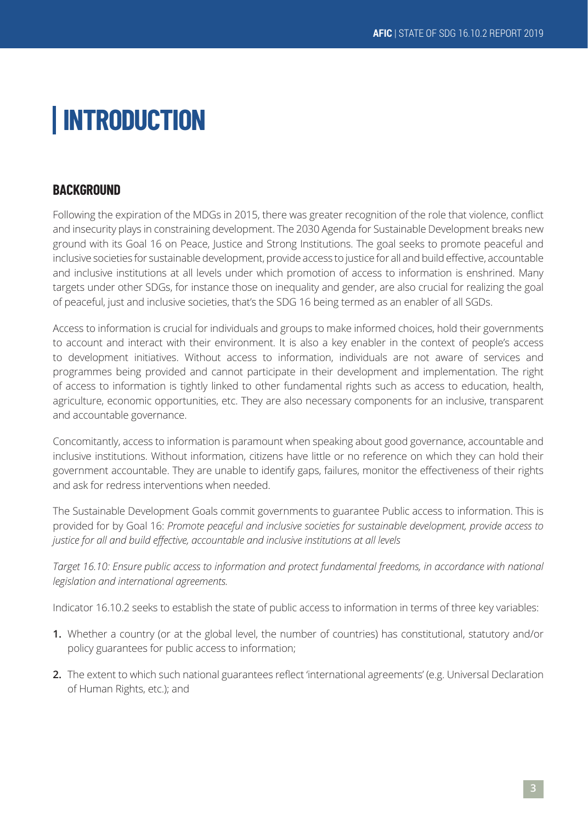# **INTRODUCTION**

# **BACKGROUND**

Following the expiration of the MDGs in 2015, there was greater recognition of the role that violence, conflict and insecurity plays in constraining development. The 2030 Agenda for Sustainable Development breaks new ground with its Goal 16 on Peace, Justice and Strong Institutions. The goal seeks to promote peaceful and inclusive societies for sustainable development, provide access to justice for all and build effective, accountable and inclusive institutions at all levels under which promotion of access to information is enshrined. Many targets under other SDGs, for instance those on inequality and gender, are also crucial for realizing the goal of peaceful, just and inclusive societies, that's the SDG 16 being termed as an enabler of all SGDs.

Access to information is crucial for individuals and groups to make informed choices, hold their governments to account and interact with their environment. It is also a key enabler in the context of people's access to development initiatives. Without access to information, individuals are not aware of services and programmes being provided and cannot participate in their development and implementation. The right of access to information is tightly linked to other fundamental rights such as access to education, health, agriculture, economic opportunities, etc. They are also necessary components for an inclusive, transparent and accountable governance.

Concomitantly, access to information is paramount when speaking about good governance, accountable and inclusive institutions. Without information, citizens have little or no reference on which they can hold their government accountable. They are unable to identify gaps, failures, monitor the effectiveness of their rights and ask for redress interventions when needed.

The Sustainable Development Goals commit governments to guarantee Public access to information. This is provided for by Goal 16: *Promote peaceful and inclusive societies for sustainable development, provide access to justice for all and build effective, accountable and inclusive institutions at all levels*

Target 16.10: Ensure public access to information and protect fundamental freedoms, in accordance with national *legislation and international agreements.*

Indicator 16.10.2 seeks to establish the state of public access to information in terms of three key variables:

- **1.** Whether a country (or at the global level, the number of countries) has constitutional, statutory and/or policy guarantees for public access to information;
- **2.** The extent to which such national guarantees reflect 'international agreements' (e.g. Universal Declaration of Human Rights, etc.); and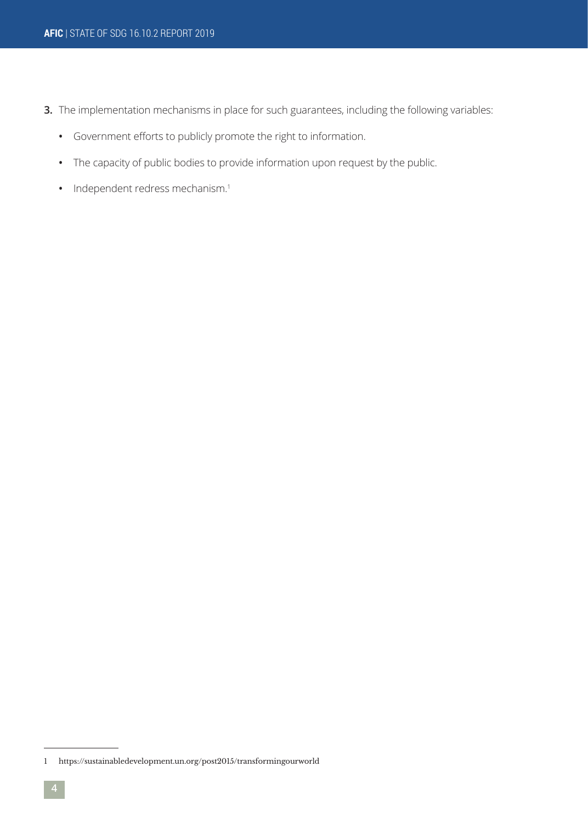- **3.** The implementation mechanisms in place for such guarantees, including the following variables:
	- **•** Government efforts to publicly promote the right to information.
	- **•** The capacity of public bodies to provide information upon request by the public.
	- Independent redress mechanism.<sup>1</sup>

<sup>1</sup> https://sustainabledevelopment.un.org/post2015/transformingourworld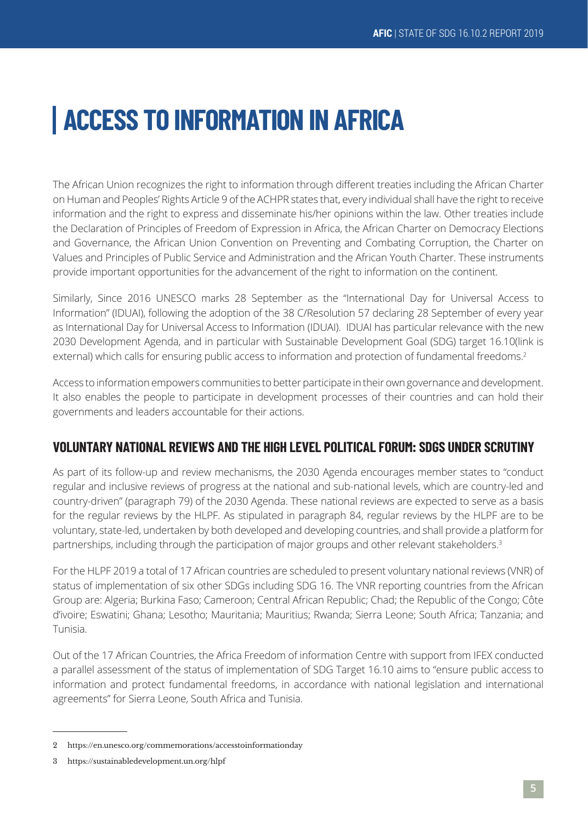# **ACCESS TO INFORMATION IN AFRICA**

The African Union recognizes the right to information through different treaties including the African Charter on Human and Peoples' Rights Article 9 of the ACHPR states that, every individual shall have the right to receive information and the right to express and disseminate his/her opinions within the law. Other treaties include the Declaration of Principles of Freedom of Expression in Africa, the African Charter on Democracy Elections and Governance, the African Union Convention on Preventing and Combating Corruption, the Charter on Values and Principles of Public Service and Administration and the African Youth Charter. These instruments provide important opportunities for the advancement of the right to information on the continent.

Similarly, Since 2016 UNESCO marks 28 September as the "International Day for Universal Access to Information" (IDUAI), following the adoption of the 38 C/Resolution 57 declaring 28 September of every year as International Day for Universal Access to Information (IDUAI). IDUAI has particular relevance with the new 2030 Development Agenda, and in particular with Sustainable Development Goal (SDG) target 16.10(link is external) which calls for ensuring public access to information and protection of fundamental freedoms.<sup>2</sup>

Access to information empowers communities to better participate in their own governance and development. It also enables the people to participate in development processes of their countries and can hold their governments and leaders accountable for their actions.

# **VOLUNTARY NATIONAL REVIEWS AND THE HIGH LEVEL POLITICAL FORUM: SDGS UNDER SCRUTINY**

As part of its follow-up and review mechanisms, the 2030 Agenda encourages member states to "conduct regular and inclusive reviews of progress at the national and sub-national levels, which are country-led and country-driven" (paragraph 79) of the 2030 Agenda. These national reviews are expected to serve as a basis for the regular reviews by the HLPF. As stipulated in paragraph 84, regular reviews by the HLPF are to be voluntary, state-led, undertaken by both developed and developing countries, and shall provide a platform for partnerships, including through the participation of major groups and other relevant stakeholders.<sup>3</sup>

For the HLPF 2019 a total of 17 African countries are scheduled to present voluntary national reviews (VNR) of status of implementation of six other SDGs including SDG 16. The VNR reporting countries from the African Group are: Algeria; Burkina Faso; Cameroon; Central African Republic; Chad; the Republic of the Congo; Côte d'ivoire; Eswatini; Ghana; Lesotho; Mauritania; Mauritius; Rwanda; Sierra Leone; South Africa; Tanzania; and Tunisia.

Out of the 17 African Countries, the Africa Freedom of information Centre with support from IFEX conducted a parallel assessment of the status of implementation of SDG Target 16.10 aims to "ensure public access to information and protect fundamental freedoms, in accordance with national legislation and international agreements" for Sierra Leone, South Africa and Tunisia.

<sup>2</sup> https://en.unesco.org/commemorations/accesstoinformationday

<sup>3</sup> https://sustainabledevelopment.un.org/hlpf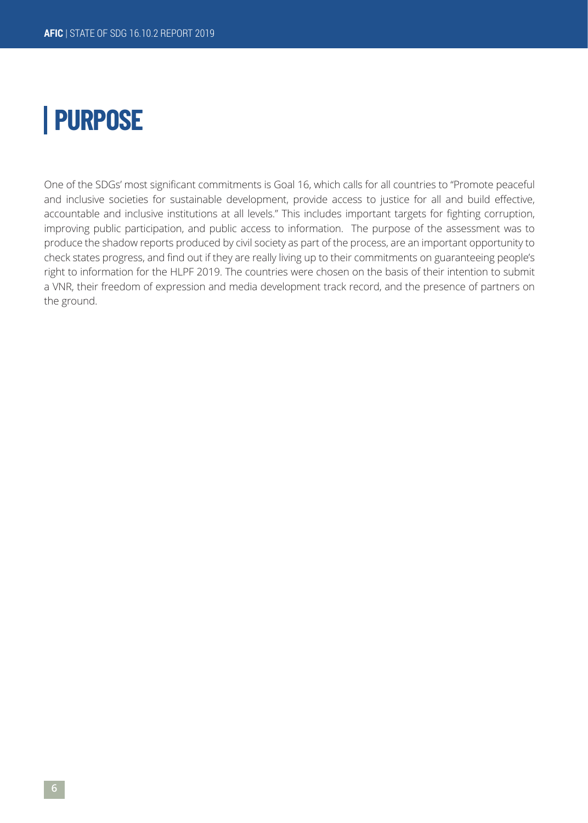# **PURPOSE**

One of the SDGs' most significant commitments is Goal 16, which calls for all countries to "Promote peaceful and inclusive societies for sustainable development, provide access to justice for all and build effective, accountable and inclusive institutions at all levels." This includes important targets for fighting corruption, improving public participation, and public access to information. The purpose of the assessment was to produce the shadow reports produced by civil society as part of the process, are an important opportunity to check states progress, and find out if they are really living up to their commitments on guaranteeing people's right to information for the HLPF 2019. The countries were chosen on the basis of their intention to submit a VNR, their freedom of expression and media development track record, and the presence of partners on the ground.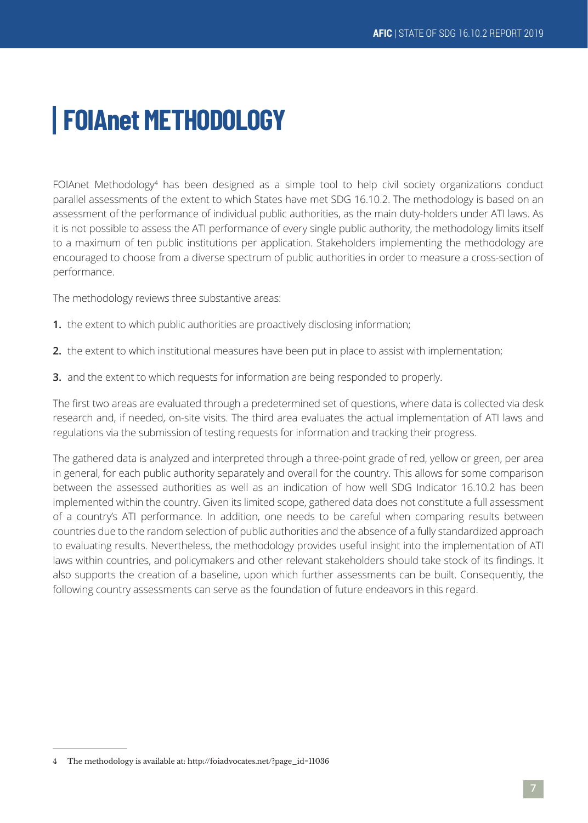# **FOIAnet METHODOLOGY**

FOIAnet Methodology<sup>4</sup> has been designed as a simple tool to help civil society organizations conduct parallel assessments of the extent to which States have met SDG 16.10.2. The methodology is based on an assessment of the performance of individual public authorities, as the main duty-holders under ATI laws. As it is not possible to assess the ATI performance of every single public authority, the methodology limits itself to a maximum of ten public institutions per application. Stakeholders implementing the methodology are encouraged to choose from a diverse spectrum of public authorities in order to measure a cross-section of performance.

The methodology reviews three substantive areas:

- **1.** the extent to which public authorities are proactively disclosing information;
- **2.** the extent to which institutional measures have been put in place to assist with implementation;
- **3.** and the extent to which requests for information are being responded to properly.

The first two areas are evaluated through a predetermined set of questions, where data is collected via desk research and, if needed, on-site visits. The third area evaluates the actual implementation of ATI laws and regulations via the submission of testing requests for information and tracking their progress.

The gathered data is analyzed and interpreted through a three-point grade of red, yellow or green, per area in general, for each public authority separately and overall for the country. This allows for some comparison between the assessed authorities as well as an indication of how well SDG Indicator 16.10.2 has been implemented within the country. Given its limited scope, gathered data does not constitute a full assessment of a country's ATI performance. In addition, one needs to be careful when comparing results between countries due to the random selection of public authorities and the absence of a fully standardized approach to evaluating results. Nevertheless, the methodology provides useful insight into the implementation of ATI laws within countries, and policymakers and other relevant stakeholders should take stock of its findings. It also supports the creation of a baseline, upon which further assessments can be built. Consequently, the following country assessments can serve as the foundation of future endeavors in this regard.

<sup>4</sup> The methodology is available at: http://foiadvocates.net/?page\_id=11036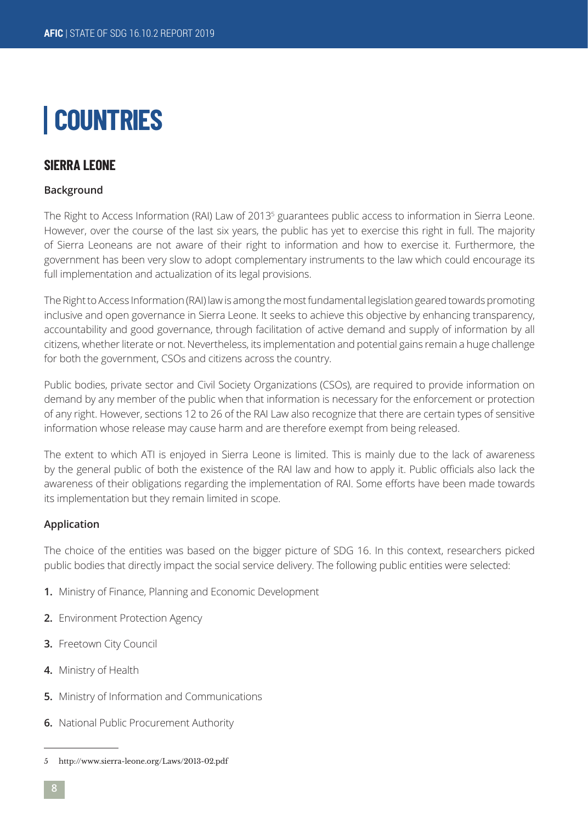# **COUNTRIES**

# **SIFRRA I FONF**

# **Background**

The Right to Access Information (RAI) Law of 2013<sup>5</sup> guarantees public access to information in Sierra Leone. However, over the course of the last six years, the public has yet to exercise this right in full. The majority of Sierra Leoneans are not aware of their right to information and how to exercise it. Furthermore, the government has been very slow to adopt complementary instruments to the law which could encourage its full implementation and actualization of its legal provisions.

The Right to Access Information (RAI) law is among the most fundamental legislation geared towards promoting inclusive and open governance in Sierra Leone. It seeks to achieve this objective by enhancing transparency, accountability and good governance, through facilitation of active demand and supply of information by all citizens, whether literate or not. Nevertheless, its implementation and potential gains remain a huge challenge for both the government, CSOs and citizens across the country.

Public bodies, private sector and Civil Society Organizations (CSOs), are required to provide information on demand by any member of the public when that information is necessary for the enforcement or protection of any right. However, sections 12 to 26 of the RAI Law also recognize that there are certain types of sensitive information whose release may cause harm and are therefore exempt from being released.

The extent to which ATI is enjoyed in Sierra Leone is limited. This is mainly due to the lack of awareness by the general public of both the existence of the RAI law and how to apply it. Public officials also lack the awareness of their obligations regarding the implementation of RAI. Some efforts have been made towards its implementation but they remain limited in scope.

### **Application**

The choice of the entities was based on the bigger picture of SDG 16. In this context, researchers picked public bodies that directly impact the social service delivery. The following public entities were selected:

- **1.** Ministry of Finance, Planning and Economic Development
- **2.** Environment Protection Agency
- **3.** Freetown City Council
- **4.** Ministry of Health
- **5.** Ministry of Information and Communications
- **6.** National Public Procurement Authority

<sup>5</sup> http://www.sierra-leone.org/Laws/2013-02.pdf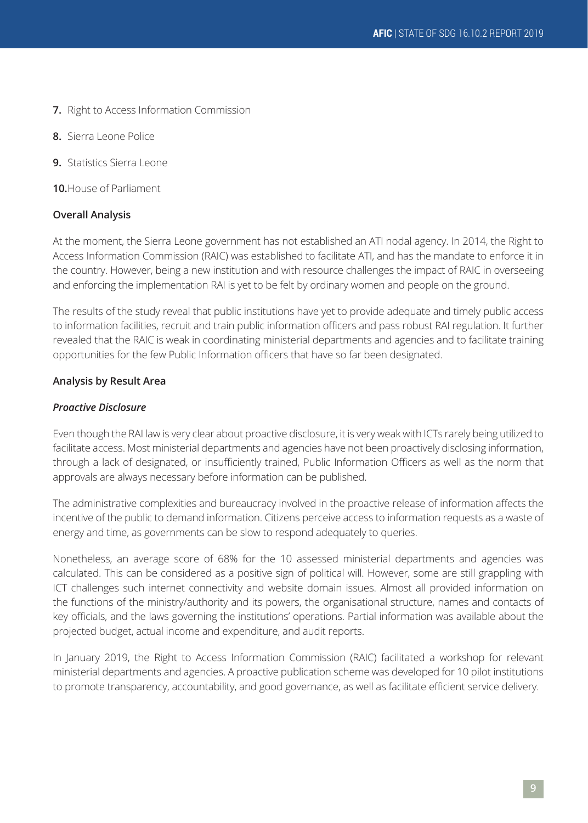- **7.** Right to Access Information Commission
- **8.** Sierra Leone Police
- **9.** Statistics Sierra Leone

**10.**House of Parliament

### **Overall Analysis**

At the moment, the Sierra Leone government has not established an ATI nodal agency. In 2014, the Right to Access Information Commission (RAIC) was established to facilitate ATI, and has the mandate to enforce it in the country. However, being a new institution and with resource challenges the impact of RAIC in overseeing and enforcing the implementation RAI is yet to be felt by ordinary women and people on the ground.

The results of the study reveal that public institutions have yet to provide adequate and timely public access to information facilities, recruit and train public information officers and pass robust RAI regulation. It further revealed that the RAIC is weak in coordinating ministerial departments and agencies and to facilitate training opportunities for the few Public Information officers that have so far been designated.

#### **Analysis by Result Area**

#### *Proactive Disclosure*

Even though the RAI law is very clear about proactive disclosure, it is very weak with ICTs rarely being utilized to facilitate access. Most ministerial departments and agencies have not been proactively disclosing information, through a lack of designated, or insufficiently trained, Public Information Officers as well as the norm that approvals are always necessary before information can be published.

The administrative complexities and bureaucracy involved in the proactive release of information affects the incentive of the public to demand information. Citizens perceive access to information requests as a waste of energy and time, as governments can be slow to respond adequately to queries.

Nonetheless, an average score of 68% for the 10 assessed ministerial departments and agencies was calculated. This can be considered as a positive sign of political will. However, some are still grappling with ICT challenges such internet connectivity and website domain issues. Almost all provided information on the functions of the ministry/authority and its powers, the organisational structure, names and contacts of key officials, and the laws governing the institutions' operations. Partial information was available about the projected budget, actual income and expenditure, and audit reports.

In January 2019, the Right to Access Information Commission (RAIC) facilitated a workshop for relevant ministerial departments and agencies. A proactive publication scheme was developed for 10 pilot institutions to promote transparency, accountability, and good governance, as well as facilitate efficient service delivery.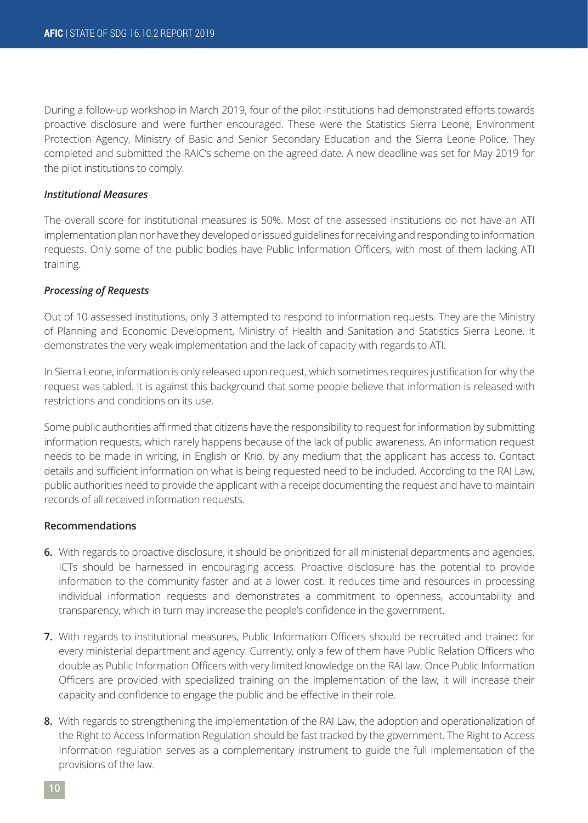During a follow-up workshop in March 2019, four of the pilot institutions had demonstrated efforts towards proactive disclosure and were further encouraged. These were the Statistics Sierra Leone, Environment Protection Agency, Ministry of Basic and Senior Secondary Education and the Sierra Leone Police. They completed and submitted the RAIC's scheme on the agreed date. A new deadline was set for May 2019 for the pilot institutions to comply.

### *Institutional Measures*

The overall score for institutional measures is 50%. Most of the assessed institutions do not have an ATI implementation plan nor have they developed or issued guidelines for receiving and responding to information requests. Only some of the public bodies have Public Information Officers, with most of them lacking ATI training.

### *Processing of Requests*

Out of 10 assessed institutions, only 3 attempted to respond to information requests. They are the Ministry of Planning and Economic Development, Ministry of Health and Sanitation and Statistics Sierra Leone. It demonstrates the very weak implementation and the lack of capacity with regards to ATI.

In Sierra Leone, information is only released upon request, which sometimes requires justification for why the request was tabled. It is against this background that some people believe that information is released with restrictions and conditions on its use.

Some public authorities affirmed that citizens have the responsibility to request for information by submitting information requests, which rarely happens because of the lack of public awareness. An information request needs to be made in writing, in English or Krio, by any medium that the applicant has access to. Contact details and sufficient information on what is being requested need to be included. According to the RAI Law, public authorities need to provide the applicant with a receipt documenting the request and have to maintain records of all received information requests.

### **Recommendations**

- **6.** With regards to proactive disclosure, it should be prioritized for all ministerial departments and agencies. ICTs should be harnessed in encouraging access. Proactive disclosure has the potential to provide information to the community faster and at a lower cost. It reduces time and resources in processing individual information requests and demonstrates a commitment to openness, accountability and transparency, which in turn may increase the people's confidence in the government.
- **7.** With regards to institutional measures, Public Information Officers should be recruited and trained for every ministerial department and agency. Currently, only a few of them have Public Relation Officers who double as Public Information Officers with very limited knowledge on the RAI law. Once Public Information Officers are provided with specialized training on the implementation of the law, it will increase their capacity and confidence to engage the public and be effective in their role.
- **8.** With regards to strengthening the implementation of the RAI Law, the adoption and operationalization of the Right to Access Information Regulation should be fast tracked by the government. The Right to Access Information regulation serves as a complementary instrument to guide the full implementation of the provisions of the law.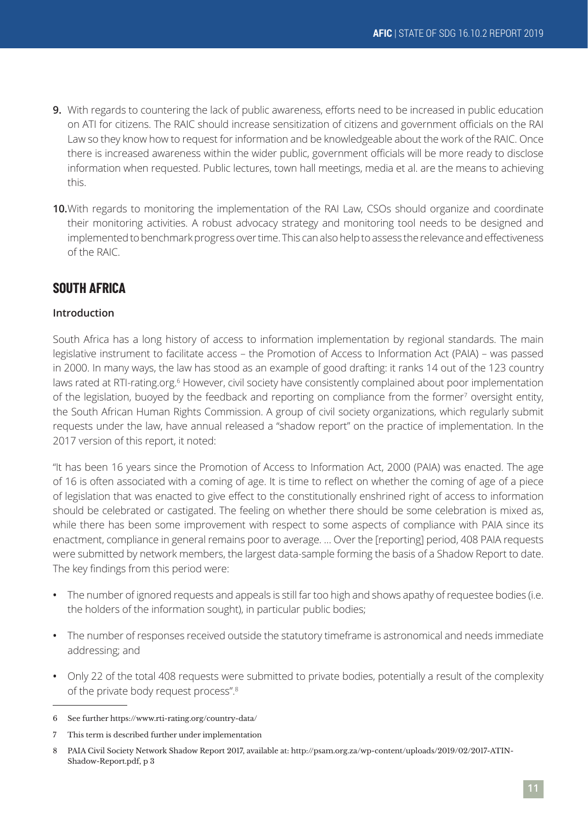- **9.** With regards to countering the lack of public awareness, efforts need to be increased in public education on ATI for citizens. The RAIC should increase sensitization of citizens and government officials on the RAI Law so they know how to request for information and be knowledgeable about the work of the RAIC. Once there is increased awareness within the wider public, government officials will be more ready to disclose information when requested. Public lectures, town hall meetings, media et al. are the means to achieving this.
- **10.**With regards to monitoring the implementation of the RAI Law, CSOs should organize and coordinate their monitoring activities. A robust advocacy strategy and monitoring tool needs to be designed and implemented to benchmark progress over time. This can also help to assess the relevance and effectiveness of the RAIC.

# **SOUTH AFRICA**

# **Introduction**

South Africa has a long history of access to information implementation by regional standards. The main legislative instrument to facilitate access – the Promotion of Access to Information Act (PAIA) – was passed in 2000. In many ways, the law has stood as an example of good drafting: it ranks 14 out of the 123 country laws rated at RTI-rating.org.<sup>6</sup> However, civil society have consistently complained about poor implementation of the legislation, buoyed by the feedback and reporting on compliance from the former7 oversight entity, the South African Human Rights Commission. A group of civil society organizations, which regularly submit requests under the law, have annual released a "shadow report" on the practice of implementation. In the 2017 version of this report, it noted:

"It has been 16 years since the Promotion of Access to Information Act, 2000 (PAIA) was enacted. The age of 16 is often associated with a coming of age. It is time to reflect on whether the coming of age of a piece of legislation that was enacted to give effect to the constitutionally enshrined right of access to information should be celebrated or castigated. The feeling on whether there should be some celebration is mixed as, while there has been some improvement with respect to some aspects of compliance with PAIA since its enactment, compliance in general remains poor to average. … Over the [reporting] period, 408 PAIA requests were submitted by network members, the largest data-sample forming the basis of a Shadow Report to date. The key findings from this period were:

- **•** The number of ignored requests and appeals is still far too high and shows apathy of requestee bodies (i.e. the holders of the information sought), in particular public bodies;
- **•** The number of responses received outside the statutory timeframe is astronomical and needs immediate addressing; and
- **•** Only 22 of the total 408 requests were submitted to private bodies, potentially a result of the complexity of the private body request process".<sup>8</sup>

<sup>6</sup> See further https://www.rti-rating.org/country-data/

<sup>7</sup> This term is described further under implementation

<sup>8</sup> PAIA Civil Society Network Shadow Report 2017, available at: http://psam.org.za/wp-content/uploads/2019/02/2017-ATIN-Shadow-Report.pdf, p 3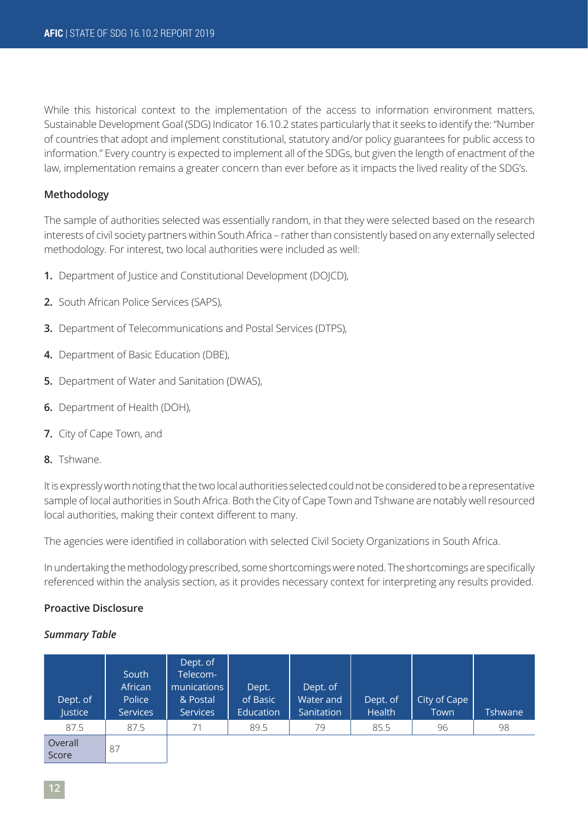While this historical context to the implementation of the access to information environment matters, Sustainable Development Goal (SDG) Indicator 16.10.2 states particularly that it seeks to identify the: "Number of countries that adopt and implement constitutional, statutory and/or policy guarantees for public access to information." Every country is expected to implement all of the SDGs, but given the length of enactment of the law, implementation remains a greater concern than ever before as it impacts the lived reality of the SDG's.

# **Methodology**

The sample of authorities selected was essentially random, in that they were selected based on the research interests of civil society partners within South Africa – rather than consistently based on any externally selected methodology. For interest, two local authorities were included as well:

- **1.** Department of Justice and Constitutional Development (DOJCD),
- **2.** South African Police Services (SAPS),
- **3.** Department of Telecommunications and Postal Services (DTPS),
- **4.** Department of Basic Education (DBE),
- **5.** Department of Water and Sanitation (DWAS),
- **6.** Department of Health (DOH),
- **7.** City of Cape Town, and
- **8.** Tshwane.

It is expressly worth noting that the two local authorities selected could not be considered to be a representative sample of local authorities in South Africa. Both the City of Cape Town and Tshwane are notably well resourced local authorities, making their context different to many.

The agencies were identified in collaboration with selected Civil Society Organizations in South Africa.

In undertaking the methodology prescribed, some shortcomings were noted. The shortcomings are specifically referenced within the analysis section, as it provides necessary context for interpreting any results provided.

### **Proactive Disclosure**

### *Summary Table*

| Dept. of<br>Justice | South<br>African<br>Police<br><b>Services</b> | Dept. of<br>Telecom-<br>munications<br>& Postal<br><b>Services</b> | Dept.<br>of Basic<br>Education | Dept. of<br>Water and<br>Sanitation | Dept. of<br>Health | City of Cape<br>Town | <b>Tshwane</b> |
|---------------------|-----------------------------------------------|--------------------------------------------------------------------|--------------------------------|-------------------------------------|--------------------|----------------------|----------------|
| 87.5                | 87.5                                          | 71                                                                 | 89.5                           | 79                                  | 85.5               | 96                   | 98             |
| Overall             |                                               |                                                                    |                                |                                     |                    |                      |                |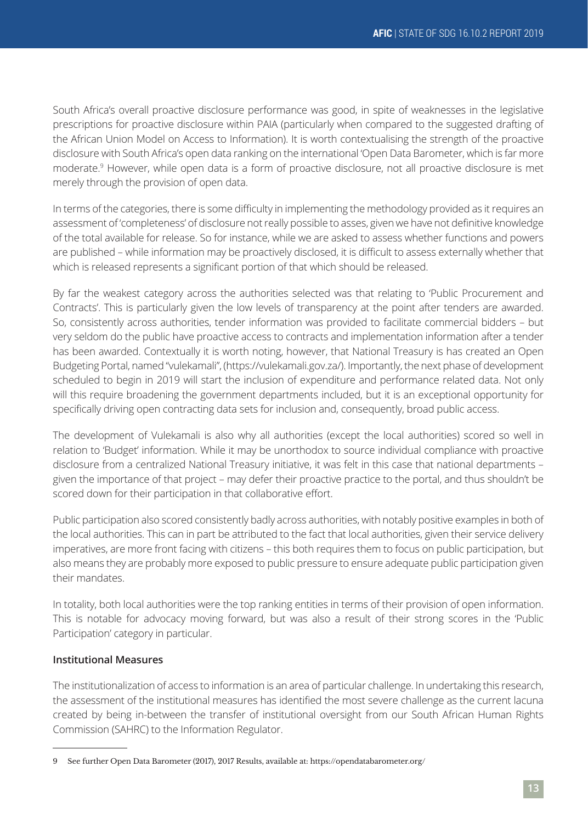South Africa's overall proactive disclosure performance was good, in spite of weaknesses in the legislative prescriptions for proactive disclosure within PAIA (particularly when compared to the suggested drafting of the African Union Model on Access to Information). It is worth contextualising the strength of the proactive disclosure with South Africa's open data ranking on the international 'Open Data Barometer, which is far more moderate.<sup>9</sup> However, while open data is a form of proactive disclosure, not all proactive disclosure is met merely through the provision of open data.

In terms of the categories, there is some difficulty in implementing the methodology provided as it requires an assessment of 'completeness' of disclosure not really possible to asses, given we have not definitive knowledge of the total available for release. So for instance, while we are asked to assess whether functions and powers are published – while information may be proactively disclosed, it is difficult to assess externally whether that which is released represents a significant portion of that which should be released.

By far the weakest category across the authorities selected was that relating to 'Public Procurement and Contracts'. This is particularly given the low levels of transparency at the point after tenders are awarded. So, consistently across authorities, tender information was provided to facilitate commercial bidders – but very seldom do the public have proactive access to contracts and implementation information after a tender has been awarded. Contextually it is worth noting, however, that National Treasury is has created an Open Budgeting Portal, named "vulekamali", (https://vulekamali.gov.za/). Importantly, the next phase of development scheduled to begin in 2019 will start the inclusion of expenditure and performance related data. Not only will this require broadening the government departments included, but it is an exceptional opportunity for specifically driving open contracting data sets for inclusion and, consequently, broad public access.

The development of Vulekamali is also why all authorities (except the local authorities) scored so well in relation to 'Budget' information. While it may be unorthodox to source individual compliance with proactive disclosure from a centralized National Treasury initiative, it was felt in this case that national departments – given the importance of that project – may defer their proactive practice to the portal, and thus shouldn't be scored down for their participation in that collaborative effort.

Public participation also scored consistently badly across authorities, with notably positive examples in both of the local authorities. This can in part be attributed to the fact that local authorities, given their service delivery imperatives, are more front facing with citizens – this both requires them to focus on public participation, but also means they are probably more exposed to public pressure to ensure adequate public participation given their mandates.

In totality, both local authorities were the top ranking entities in terms of their provision of open information. This is notable for advocacy moving forward, but was also a result of their strong scores in the 'Public Participation' category in particular.

# **Institutional Measures**

The institutionalization of access to information is an area of particular challenge. In undertaking this research, the assessment of the institutional measures has identified the most severe challenge as the current lacuna created by being in-between the transfer of institutional oversight from our South African Human Rights Commission (SAHRC) to the Information Regulator.

<sup>9</sup> See further Open Data Barometer (2017), 2017 Results, available at: https://opendatabarometer.org/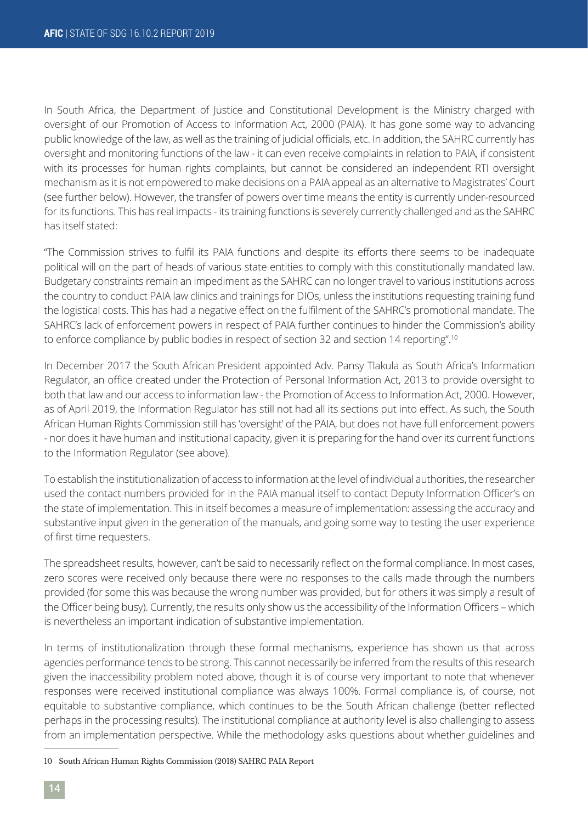In South Africa, the Department of Justice and Constitutional Development is the Ministry charged with oversight of our Promotion of Access to Information Act, 2000 (PAIA). It has gone some way to advancing public knowledge of the law, as well as the training of judicial officials, etc. In addition, the SAHRC currently has oversight and monitoring functions of the law - it can even receive complaints in relation to PAIA, if consistent with its processes for human rights complaints, but cannot be considered an independent RTI oversight mechanism as it is not empowered to make decisions on a PAIA appeal as an alternative to Magistrates' Court (see further below). However, the transfer of powers over time means the entity is currently under-resourced for its functions. This has real impacts - its training functions is severely currently challenged and as the SAHRC has itself stated:

"The Commission strives to fulfil its PAIA functions and despite its efforts there seems to be inadequate political will on the part of heads of various state entities to comply with this constitutionally mandated law. Budgetary constraints remain an impediment as the SAHRC can no longer travel to various institutions across the country to conduct PAIA law clinics and trainings for DIOs, unless the institutions requesting training fund the logistical costs. This has had a negative effect on the fulfilment of the SAHRC's promotional mandate. The SAHRC's lack of enforcement powers in respect of PAIA further continues to hinder the Commission's ability to enforce compliance by public bodies in respect of section 32 and section 14 reporting".<sup>10</sup>

In December 2017 the South African President appointed Adv. Pansy Tlakula as South Africa's Information Regulator, an office created under the Protection of Personal Information Act, 2013 to provide oversight to both that law and our access to information law - the Promotion of Access to Information Act, 2000. However, as of April 2019, the Information Regulator has still not had all its sections put into effect. As such, the South African Human Rights Commission still has 'oversight' of the PAIA, but does not have full enforcement powers - nor does it have human and institutional capacity, given it is preparing for the hand over its current functions to the Information Regulator (see above).

To establish the institutionalization of access to information at the level of individual authorities, the researcher used the contact numbers provided for in the PAIA manual itself to contact Deputy Information Officer's on the state of implementation. This in itself becomes a measure of implementation: assessing the accuracy and substantive input given in the generation of the manuals, and going some way to testing the user experience of first time requesters.

The spreadsheet results, however, can't be said to necessarily reflect on the formal compliance. In most cases, zero scores were received only because there were no responses to the calls made through the numbers provided (for some this was because the wrong number was provided, but for others it was simply a result of the Officer being busy). Currently, the results only show us the accessibility of the Information Officers – which is nevertheless an important indication of substantive implementation.

In terms of institutionalization through these formal mechanisms, experience has shown us that across agencies performance tends to be strong. This cannot necessarily be inferred from the results of this research given the inaccessibility problem noted above, though it is of course very important to note that whenever responses were received institutional compliance was always 100%. Formal compliance is, of course, not equitable to substantive compliance, which continues to be the South African challenge (better reflected perhaps in the processing results). The institutional compliance at authority level is also challenging to assess from an implementation perspective. While the methodology asks questions about whether guidelines and

<sup>10</sup> South African Human Rights Commission (2018) SAHRC PAIA Report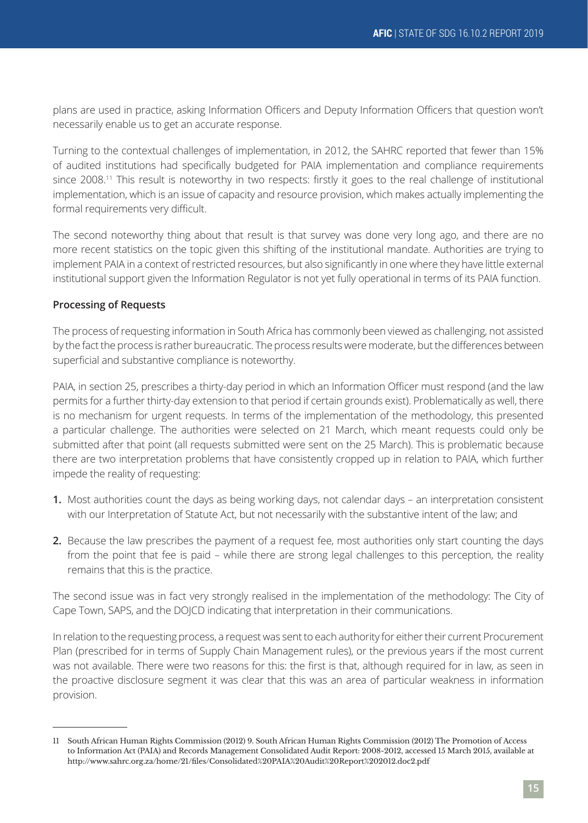plans are used in practice, asking Information Officers and Deputy Information Officers that question won't necessarily enable us to get an accurate response.

Turning to the contextual challenges of implementation, in 2012, the SAHRC reported that fewer than 15% of audited institutions had specifically budgeted for PAIA implementation and compliance requirements since 2008.<sup>11</sup> This result is noteworthy in two respects: firstly it goes to the real challenge of institutional implementation, which is an issue of capacity and resource provision, which makes actually implementing the formal requirements very difficult.

The second noteworthy thing about that result is that survey was done very long ago, and there are no more recent statistics on the topic given this shifting of the institutional mandate. Authorities are trying to implement PAIA in a context of restricted resources, but also significantly in one where they have little external institutional support given the Information Regulator is not yet fully operational in terms of its PAIA function.

# **Processing of Requests**

The process of requesting information in South Africa has commonly been viewed as challenging, not assisted by the fact the process is rather bureaucratic. The process results were moderate, but the differences between superficial and substantive compliance is noteworthy.

PAIA, in section 25, prescribes a thirty-day period in which an Information Officer must respond (and the law permits for a further thirty-day extension to that period if certain grounds exist). Problematically as well, there is no mechanism for urgent requests. In terms of the implementation of the methodology, this presented a particular challenge. The authorities were selected on 21 March, which meant requests could only be submitted after that point (all requests submitted were sent on the 25 March). This is problematic because there are two interpretation problems that have consistently cropped up in relation to PAIA, which further impede the reality of requesting:

- **1.** Most authorities count the days as being working days, not calendar days an interpretation consistent with our Interpretation of Statute Act, but not necessarily with the substantive intent of the law; and
- **2.** Because the law prescribes the payment of a request fee, most authorities only start counting the days from the point that fee is paid – while there are strong legal challenges to this perception, the reality remains that this is the practice.

The second issue was in fact very strongly realised in the implementation of the methodology: The City of Cape Town, SAPS, and the DOJCD indicating that interpretation in their communications.

In relation to the requesting process, a request was sent to each authority for either their current Procurement Plan (prescribed for in terms of Supply Chain Management rules), or the previous years if the most current was not available. There were two reasons for this: the first is that, although required for in law, as seen in the proactive disclosure segment it was clear that this was an area of particular weakness in information provision.

<sup>11</sup> South African Human Rights Commission (2012) 9. South African Human Rights Commission (2012) The Promotion of Access to Information Act (PAIA) and Records Management Consolidated Audit Report: 2008-2012, accessed 15 March 2015, available at http://www.sahrc.org.za/home/21/files/Consolidated%20PAIA%20Audit%20Report%202012.doc2.pdf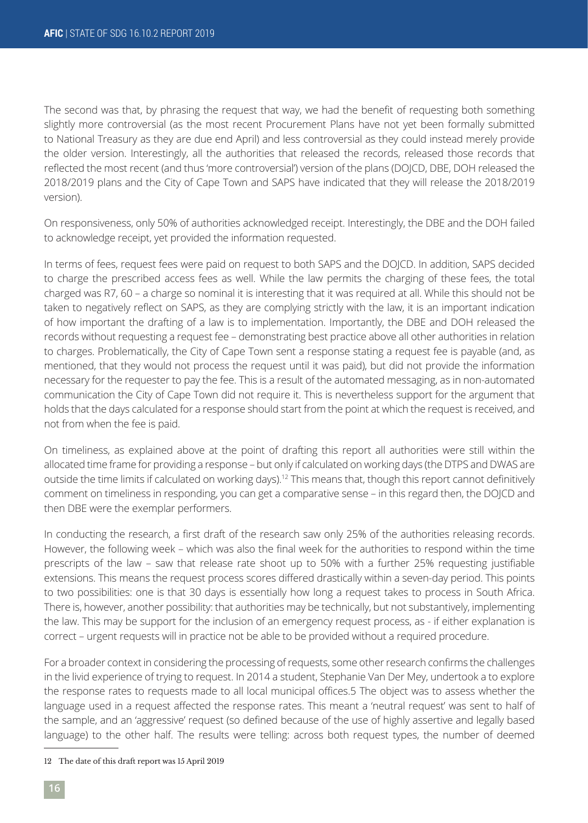The second was that, by phrasing the request that way, we had the benefit of requesting both something slightly more controversial (as the most recent Procurement Plans have not yet been formally submitted to National Treasury as they are due end April) and less controversial as they could instead merely provide the older version. Interestingly, all the authorities that released the records, released those records that reflected the most recent (and thus 'more controversial') version of the plans (DOJCD, DBE, DOH released the 2018/2019 plans and the City of Cape Town and SAPS have indicated that they will release the 2018/2019 version).

On responsiveness, only 50% of authorities acknowledged receipt. Interestingly, the DBE and the DOH failed to acknowledge receipt, yet provided the information requested.

In terms of fees, request fees were paid on request to both SAPS and the DOJCD. In addition, SAPS decided to charge the prescribed access fees as well. While the law permits the charging of these fees, the total charged was R7, 60 – a charge so nominal it is interesting that it was required at all. While this should not be taken to negatively reflect on SAPS, as they are complying strictly with the law, it is an important indication of how important the drafting of a law is to implementation. Importantly, the DBE and DOH released the records without requesting a request fee – demonstrating best practice above all other authorities in relation to charges. Problematically, the City of Cape Town sent a response stating a request fee is payable (and, as mentioned, that they would not process the request until it was paid), but did not provide the information necessary for the requester to pay the fee. This is a result of the automated messaging, as in non-automated communication the City of Cape Town did not require it. This is nevertheless support for the argument that holds that the days calculated for a response should start from the point at which the request is received, and not from when the fee is paid.

On timeliness, as explained above at the point of drafting this report all authorities were still within the allocated time frame for providing a response – but only if calculated on working days (the DTPS and DWAS are outside the time limits if calculated on working days).<sup>12</sup> This means that, though this report cannot definitively comment on timeliness in responding, you can get a comparative sense – in this regard then, the DOJCD and then DBE were the exemplar performers.

In conducting the research, a first draft of the research saw only 25% of the authorities releasing records. However, the following week – which was also the final week for the authorities to respond within the time prescripts of the law – saw that release rate shoot up to 50% with a further 25% requesting justifiable extensions. This means the request process scores differed drastically within a seven-day period. This points to two possibilities: one is that 30 days is essentially how long a request takes to process in South Africa. There is, however, another possibility: that authorities may be technically, but not substantively, implementing the law. This may be support for the inclusion of an emergency request process, as - if either explanation is correct – urgent requests will in practice not be able to be provided without a required procedure.

For a broader context in considering the processing of requests, some other research confirms the challenges in the livid experience of trying to request. In 2014 a student, Stephanie Van Der Mey, undertook a to explore the response rates to requests made to all local municipal offices.5 The object was to assess whether the language used in a request affected the response rates. This meant a 'neutral request' was sent to half of the sample, and an 'aggressive' request (so defined because of the use of highly assertive and legally based language) to the other half. The results were telling: across both request types, the number of deemed

<sup>12</sup> The date of this draft report was 15 April 2019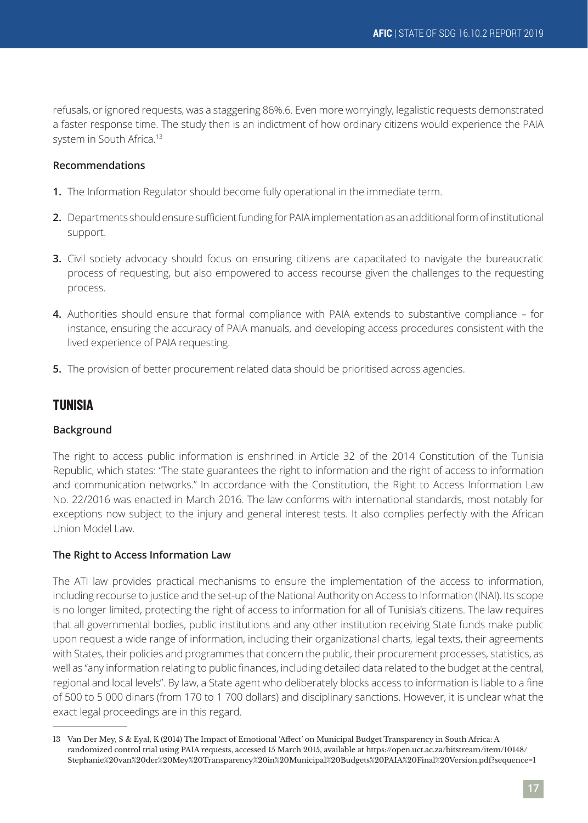refusals, or ignored requests, was a staggering 86%.6. Even more worryingly, legalistic requests demonstrated a faster response time. The study then is an indictment of how ordinary citizens would experience the PAIA system in South Africa.<sup>13</sup>

# **Recommendations**

- **1.** The Information Regulator should become fully operational in the immediate term.
- **2.** Departments should ensure sufficient funding for PAIA implementation as an additional form of institutional support.
- **3.** Civil society advocacy should focus on ensuring citizens are capacitated to navigate the bureaucratic process of requesting, but also empowered to access recourse given the challenges to the requesting process.
- **4.** Authorities should ensure that formal compliance with PAIA extends to substantive compliance for instance, ensuring the accuracy of PAIA manuals, and developing access procedures consistent with the lived experience of PAIA requesting.
- **5.** The provision of better procurement related data should be prioritised across agencies.

# **TUNISIA**

### **Background**

The right to access public information is enshrined in Article 32 of the 2014 Constitution of the Tunisia Republic, which states: "The state guarantees the right to information and the right of access to information and communication networks." In accordance with the Constitution, the Right to Access Information Law No. 22/2016 was enacted in March 2016. The law conforms with international standards, most notably for exceptions now subject to the injury and general interest tests. It also complies perfectly with the African Union Model Law.

### **The Right to Access Information Law**

The ATI law provides practical mechanisms to ensure the implementation of the access to information, including recourse to justice and the set-up of the National Authority on Access to Information (INAI). Its scope is no longer limited, protecting the right of access to information for all of Tunisia's citizens. The law requires that all governmental bodies, public institutions and any other institution receiving State funds make public upon request a wide range of information, including their organizational charts, legal texts, their agreements with States, their policies and programmes that concern the public, their procurement processes, statistics, as well as "any information relating to public finances, including detailed data related to the budget at the central, regional and local levels". By law, a State agent who deliberately blocks access to information is liable to a fine of 500 to 5 000 dinars (from 170 to 1 700 dollars) and disciplinary sanctions. However, it is unclear what the exact legal proceedings are in this regard.

<sup>13</sup> Van Der Mey, S & Eyal, K (2014) The Impact of Emotional 'Affect' on Municipal Budget Transparency in South Africa: A randomized control trial using PAIA requests, accessed 15 March 2015, available at https://open.uct.ac.za/bitstream/item/10148/ Stephanie%20van%20der%20Mey%20Transparency%20in%20Municipal%20Budgets%20PAIA%20Final%20Version.pdf?sequence=1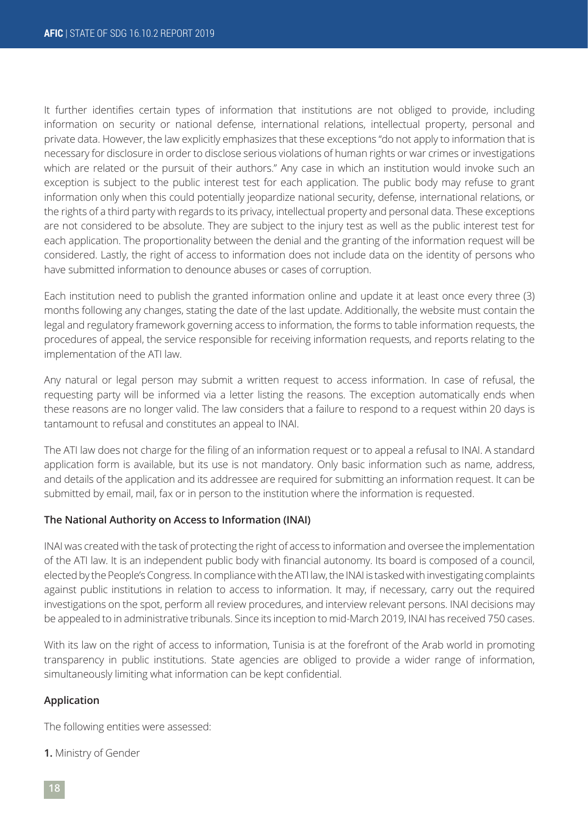It further identifies certain types of information that institutions are not obliged to provide, including information on security or national defense, international relations, intellectual property, personal and private data. However, the law explicitly emphasizes that these exceptions "do not apply to information that is necessary for disclosure in order to disclose serious violations of human rights or war crimes or investigations which are related or the pursuit of their authors." Any case in which an institution would invoke such an exception is subject to the public interest test for each application. The public body may refuse to grant information only when this could potentially jeopardize national security, defense, international relations, or the rights of a third party with regards to its privacy, intellectual property and personal data. These exceptions are not considered to be absolute. They are subject to the injury test as well as the public interest test for each application. The proportionality between the denial and the granting of the information request will be considered. Lastly, the right of access to information does not include data on the identity of persons who have submitted information to denounce abuses or cases of corruption.

Each institution need to publish the granted information online and update it at least once every three (3) months following any changes, stating the date of the last update. Additionally, the website must contain the legal and regulatory framework governing access to information, the forms to table information requests, the procedures of appeal, the service responsible for receiving information requests, and reports relating to the implementation of the ATI law.

Any natural or legal person may submit a written request to access information. In case of refusal, the requesting party will be informed via a letter listing the reasons. The exception automatically ends when these reasons are no longer valid. The law considers that a failure to respond to a request within 20 days is tantamount to refusal and constitutes an appeal to INAI.

The ATI law does not charge for the filing of an information request or to appeal a refusal to INAI. A standard application form is available, but its use is not mandatory. Only basic information such as name, address, and details of the application and its addressee are required for submitting an information request. It can be submitted by email, mail, fax or in person to the institution where the information is requested.

### **The National Authority on Access to Information (INAI)**

INAI was created with the task of protecting the right of access to information and oversee the implementation of the ATI law. It is an independent public body with financial autonomy. Its board is composed of a council, elected by the People's Congress. In compliance with the ATI law, the INAI is tasked with investigating complaints against public institutions in relation to access to information. It may, if necessary, carry out the required investigations on the spot, perform all review procedures, and interview relevant persons. INAI decisions may be appealed to in administrative tribunals. Since its inception to mid-March 2019, INAI has received 750 cases.

With its law on the right of access to information, Tunisia is at the forefront of the Arab world in promoting transparency in public institutions. State agencies are obliged to provide a wider range of information, simultaneously limiting what information can be kept confidential.

#### **Application**

The following entities were assessed:

**1.** Ministry of Gender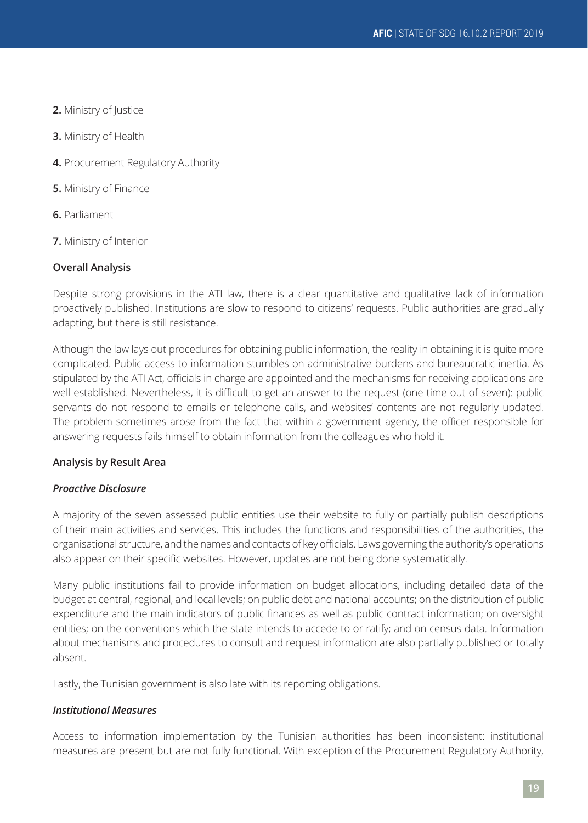- **2.** Ministry of Justice
- **3.** Ministry of Health
- **4.** Procurement Regulatory Authority
- **5.** Ministry of Finance
- **6.** Parliament
- **7.** Ministry of Interior

# **Overall Analysis**

Despite strong provisions in the ATI law, there is a clear quantitative and qualitative lack of information proactively published. Institutions are slow to respond to citizens' requests. Public authorities are gradually adapting, but there is still resistance.

Although the law lays out procedures for obtaining public information, the reality in obtaining it is quite more complicated. Public access to information stumbles on administrative burdens and bureaucratic inertia. As stipulated by the ATI Act, officials in charge are appointed and the mechanisms for receiving applications are well established. Nevertheless, it is difficult to get an answer to the request (one time out of seven): public servants do not respond to emails or telephone calls, and websites' contents are not regularly updated. The problem sometimes arose from the fact that within a government agency, the officer responsible for answering requests fails himself to obtain information from the colleagues who hold it.

# **Analysis by Result Area**

# *Proactive Disclosure*

A majority of the seven assessed public entities use their website to fully or partially publish descriptions of their main activities and services. This includes the functions and responsibilities of the authorities, the organisational structure, and the names and contacts of key officials. Laws governing the authority's operations also appear on their specific websites. However, updates are not being done systematically.

Many public institutions fail to provide information on budget allocations, including detailed data of the budget at central, regional, and local levels; on public debt and national accounts; on the distribution of public expenditure and the main indicators of public finances as well as public contract information; on oversight entities; on the conventions which the state intends to accede to or ratify; and on census data. Information about mechanisms and procedures to consult and request information are also partially published or totally absent.

Lastly, the Tunisian government is also late with its reporting obligations.

# *Institutional Measures*

Access to information implementation by the Tunisian authorities has been inconsistent: institutional measures are present but are not fully functional. With exception of the Procurement Regulatory Authority,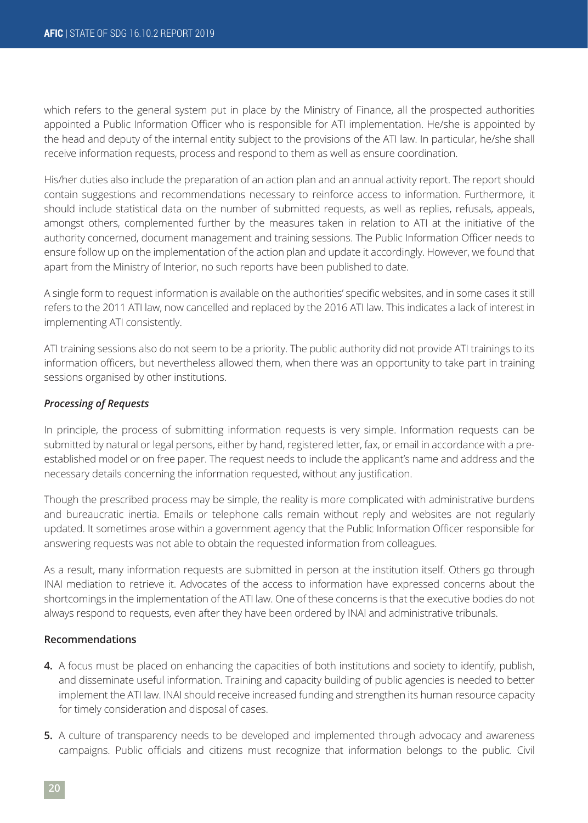which refers to the general system put in place by the Ministry of Finance, all the prospected authorities appointed a Public Information Officer who is responsible for ATI implementation. He/she is appointed by the head and deputy of the internal entity subject to the provisions of the ATI law. In particular, he/she shall receive information requests, process and respond to them as well as ensure coordination.

His/her duties also include the preparation of an action plan and an annual activity report. The report should contain suggestions and recommendations necessary to reinforce access to information. Furthermore, it should include statistical data on the number of submitted requests, as well as replies, refusals, appeals, amongst others, complemented further by the measures taken in relation to ATI at the initiative of the authority concerned, document management and training sessions. The Public Information Officer needs to ensure follow up on the implementation of the action plan and update it accordingly. However, we found that apart from the Ministry of Interior, no such reports have been published to date.

A single form to request information is available on the authorities' specific websites, and in some cases it still refers to the 2011 ATI law, now cancelled and replaced by the 2016 ATI law. This indicates a lack of interest in implementing ATI consistently.

ATI training sessions also do not seem to be a priority. The public authority did not provide ATI trainings to its information officers, but nevertheless allowed them, when there was an opportunity to take part in training sessions organised by other institutions.

#### *Processing of Requests*

In principle, the process of submitting information requests is very simple. Information requests can be submitted by natural or legal persons, either by hand, registered letter, fax, or email in accordance with a preestablished model or on free paper. The request needs to include the applicant's name and address and the necessary details concerning the information requested, without any justification.

Though the prescribed process may be simple, the reality is more complicated with administrative burdens and bureaucratic inertia. Emails or telephone calls remain without reply and websites are not regularly updated. It sometimes arose within a government agency that the Public Information Officer responsible for answering requests was not able to obtain the requested information from colleagues.

As a result, many information requests are submitted in person at the institution itself. Others go through INAI mediation to retrieve it. Advocates of the access to information have expressed concerns about the shortcomings in the implementation of the ATI law. One of these concerns is that the executive bodies do not always respond to requests, even after they have been ordered by INAI and administrative tribunals.

#### **Recommendations**

- **4.** A focus must be placed on enhancing the capacities of both institutions and society to identify, publish, and disseminate useful information. Training and capacity building of public agencies is needed to better implement the ATI law. INAI should receive increased funding and strengthen its human resource capacity for timely consideration and disposal of cases.
- **5.** A culture of transparency needs to be developed and implemented through advocacy and awareness campaigns. Public officials and citizens must recognize that information belongs to the public. Civil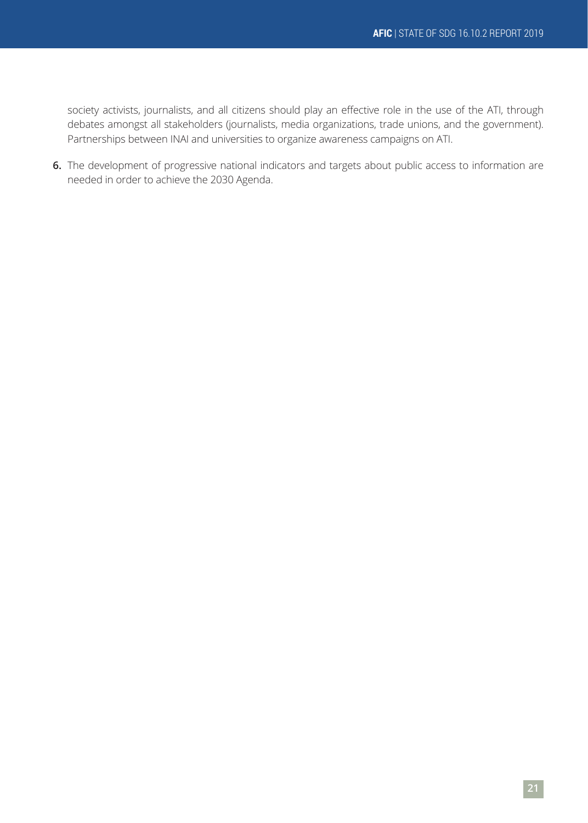society activists, journalists, and all citizens should play an effective role in the use of the ATI, through debates amongst all stakeholders (journalists, media organizations, trade unions, and the government). Partnerships between INAI and universities to organize awareness campaigns on ATI.

**6.** The development of progressive national indicators and targets about public access to information are needed in order to achieve the 2030 Agenda.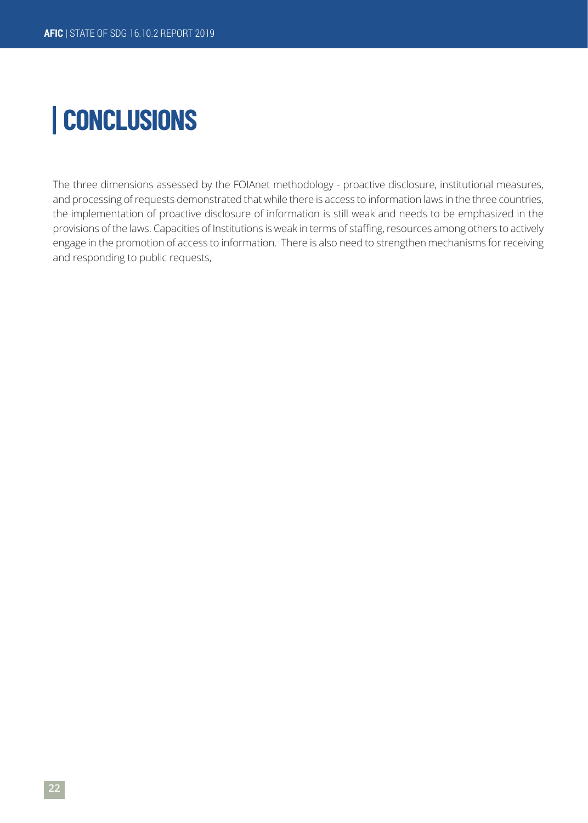# **CONCLUSIONS**

The three dimensions assessed by the FOIAnet methodology - proactive disclosure, institutional measures, and processing of requests demonstrated that while there is access to information laws in the three countries, the implementation of proactive disclosure of information is still weak and needs to be emphasized in the provisions of the laws. Capacities of Institutions is weak in terms of staffing, resources among others to actively engage in the promotion of access to information. There is also need to strengthen mechanisms for receiving and responding to public requests,